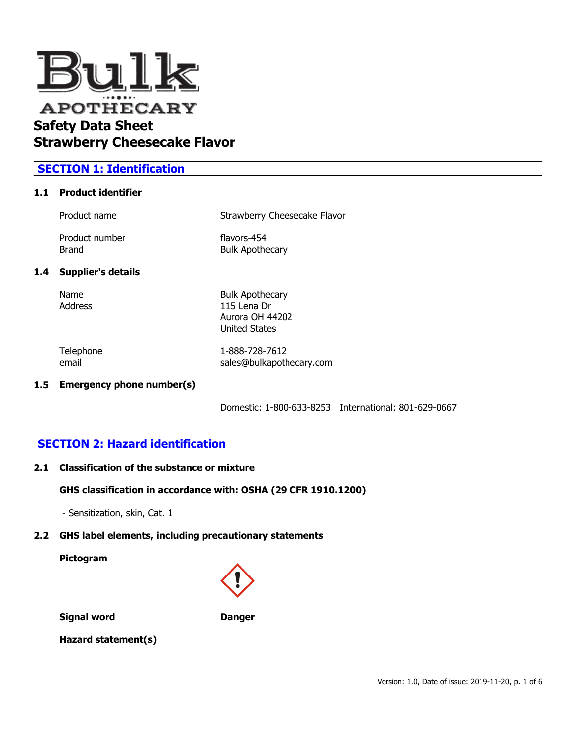

# **SECTION 1: Identification**

## **1.1 Product identifier**

| Product name   | Strawberry Cheesecake Flavor |
|----------------|------------------------------|
| Product number | flavors-454                  |
| Brand          | <b>Bulk Apothecary</b>       |

### **1.4 Supplier's details**

Name Bulk Apothecary Address 115 Lena Dr Aurora OH 44202 United States

Telephone 1-888-728-7612 email sales@bulkapothecary.com

### **1.5 Emergency phone number(s)**

Domestic: 1-800-633-8253 International: 801-629-0667

# **SECTION 2: Hazard identification**

### **2.1 Classification of the substance or mixture**

### **GHS classification in accordance with: OSHA (29 CFR 1910.1200)**

- Sensitization, skin, Cat. 1

# **2.2 GHS label elements, including precautionary statements**

**Pictogram**



**Signal word Danger** 

**Hazard statement(s)**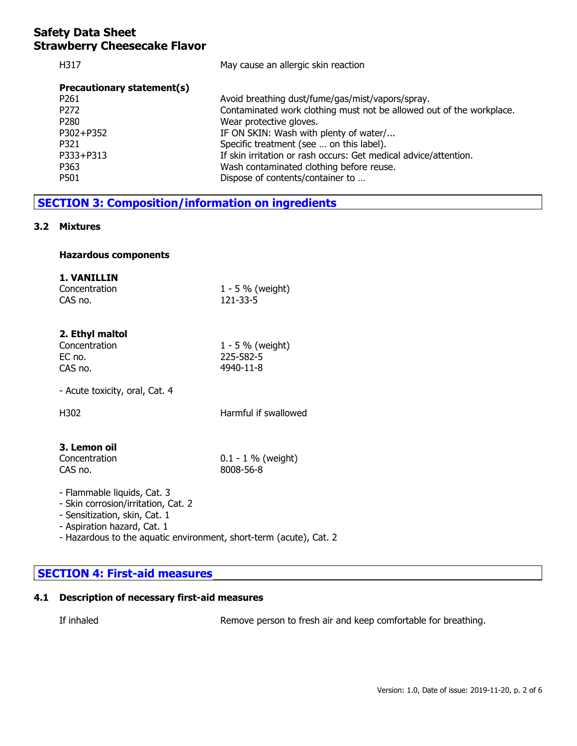| H317                       | May cause an allergic skin reaction                                  |
|----------------------------|----------------------------------------------------------------------|
| Precautionary statement(s) |                                                                      |
| P <sub>261</sub>           | Avoid breathing dust/fume/gas/mist/vapors/spray.                     |
| P <sub>272</sub>           | Contaminated work clothing must not be allowed out of the workplace. |
| P <sub>280</sub>           | Wear protective gloves.                                              |
| P302+P352                  | IF ON SKIN: Wash with plenty of water/                               |
| P321                       | Specific treatment (see  on this label).                             |
| P333+P313                  | If skin irritation or rash occurs: Get medical advice/attention.     |
| P363                       | Wash contaminated clothing before reuse.                             |
| P501                       | Dispose of contents/container to                                     |
|                            |                                                                      |

# **SECTION 3: Composition/information on ingredients**

### **3.2 Mixtures**

### **Hazardous components**

### **1. VANILLIN**

| Concentration | $1 - 5 \%$ (weight) |
|---------------|---------------------|
| CAS no.       | 121-33-5            |

## **2. Ethyl maltol**

| Concentration | 1 - 5 % (weight) |
|---------------|------------------|
| EC no.        | 225-582-5        |
| CAS no.       | 4940-11-8        |

- Acute toxicity, oral, Cat. 4

H302 Harmful if swallowed

## **3. Lemon oil**

| Concentration |  |
|---------------|--|
| CAS no.       |  |

 $0.1 - 1$  % (weight) 8008-56-8

- Flammable liquids, Cat. 3 - Skin corrosion/irritation, Cat. 2 - Sensitization, skin, Cat. 1
- Aspiration hazard, Cat. 1
- Hazardous to the aquatic environment, short-term (acute), Cat. 2

# **SECTION 4: First-aid measures**

# **4.1 Description of necessary first-aid measures**

If inhaled Remove person to fresh air and keep comfortable for breathing.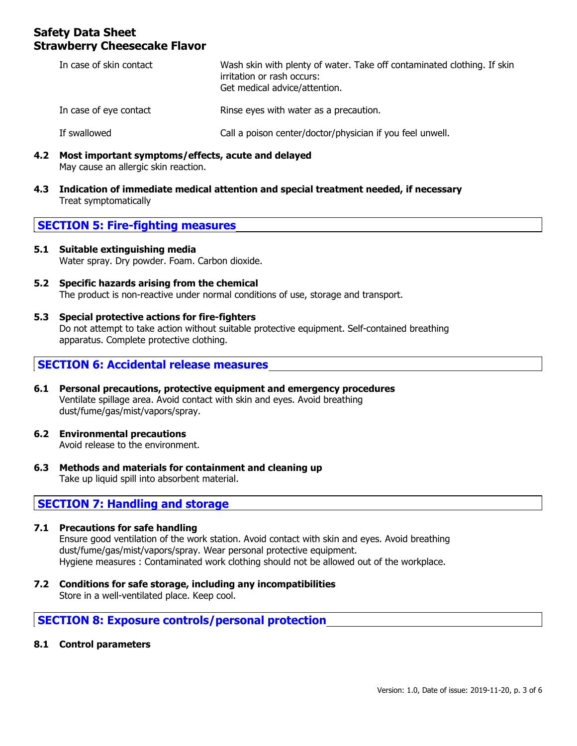| In case of skin contact | Wash skin with plenty of water. Take off contaminated clothing. If skin<br>irritation or rash occurs:<br>Get medical advice/attention. |
|-------------------------|----------------------------------------------------------------------------------------------------------------------------------------|
| In case of eye contact  | Rinse eyes with water as a precaution.                                                                                                 |
| If swallowed            | Call a poison center/doctor/physician if you feel unwell.                                                                              |

- **4.2 Most important symptoms/effects, acute and delayed** May cause an allergic skin reaction.
- **4.3 Indication of immediate medical attention and special treatment needed, if necessary** Treat symptomatically

# **SECTION 5: Fire-fighting measures**

- **5.1 Suitable extinguishing media** Water spray. Dry powder. Foam. Carbon dioxide.
- **5.2 Specific hazards arising from the chemical** The product is non-reactive under normal conditions of use, storage and transport.
- **5.3 Special protective actions for fire-fighters** Do not attempt to take action without suitable protective equipment. Self-contained breathing apparatus. Complete protective clothing.

## **SECTION 6: Accidental release measures**

- **6.1 Personal precautions, protective equipment and emergency procedures** Ventilate spillage area. Avoid contact with skin and eyes. Avoid breathing dust/fume/gas/mist/vapors/spray.
- **6.2 Environmental precautions** Avoid release to the environment.
- **6.3 Methods and materials for containment and cleaning up** Take up liquid spill into absorbent material.

# **SECTION 7: Handling and storage**

#### **7.1 Precautions for safe handling** Ensure good ventilation of the work station. Avoid contact with skin and eyes. Avoid breathing dust/fume/gas/mist/vapors/spray. Wear personal protective equipment. Hygiene measures : Contaminated work clothing should not be allowed out of the workplace.

**7.2 Conditions for safe storage, including any incompatibilities** Store in a well-ventilated place. Keep cool.

# **SECTION 8: Exposure controls/personal protection**

**8.1 Control parameters**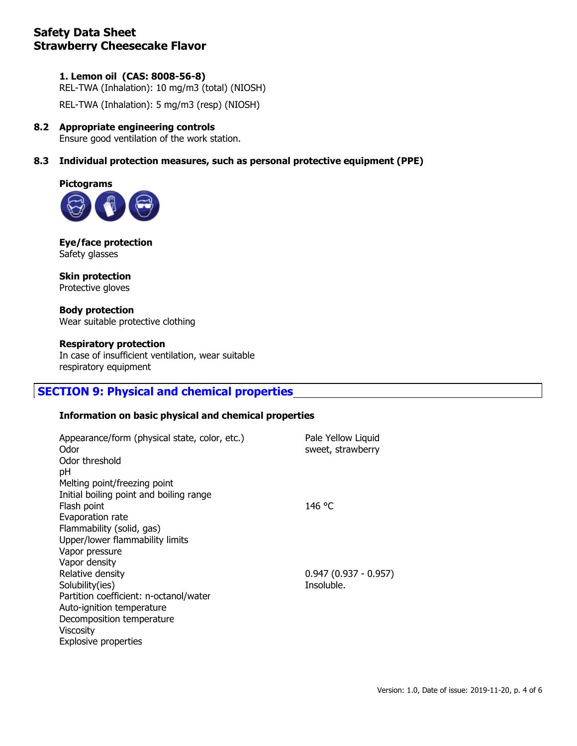## **1. Lemon oil (CAS: 8008-56-8)**

REL-TWA (Inhalation): 10 mg/m3 (total) (NIOSH)

REL-TWA (Inhalation): 5 mg/m3 (resp) (NIOSH)

### **8.2 Appropriate engineering controls**

Ensure good ventilation of the work station.

## **8.3 Individual protection measures, such as personal protective equipment (PPE)**



**Eye/face protection** Safety glasses

**Skin protection** Protective gloves

**Body protection** Wear suitable protective clothing

### **Respiratory protection**

In case of insufficient ventilation, wear suitable respiratory equipment

# **SECTION 9: Physical and chemical properties**

### **Information on basic physical and chemical properties**

| Pale Yellow Liquid<br>sweet, strawberry |
|-----------------------------------------|
|                                         |
|                                         |
| 146 °C                                  |
|                                         |
|                                         |
|                                         |
|                                         |
|                                         |
| $0.947(0.937 - 0.957)$                  |
| Insoluble.                              |
|                                         |
|                                         |
|                                         |
|                                         |
|                                         |
|                                         |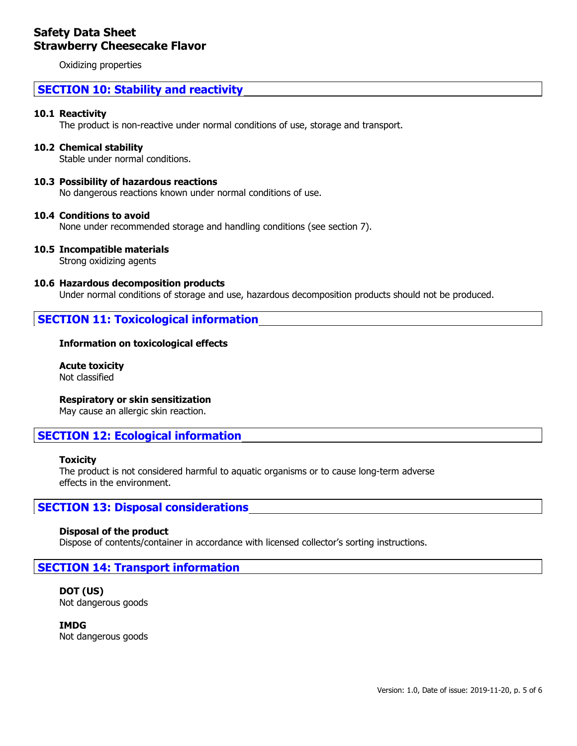Oxidizing properties

# **SECTION 10: Stability and reactivity**

#### **10.1 Reactivity**

The product is non-reactive under normal conditions of use, storage and transport.

#### **10.2 Chemical stability**

Stable under normal conditions.

#### **10.3 Possibility of hazardous reactions**

No dangerous reactions known under normal conditions of use.

#### **10.4 Conditions to avoid**

None under recommended storage and handling conditions (see section 7).

### **10.5 Incompatible materials**

Strong oxidizing agents

#### **10.6 Hazardous decomposition products**

Under normal conditions of storage and use, hazardous decomposition products should not be produced.

### **SECTION 11: Toxicological information**

#### **Information on toxicological effects**

**Acute toxicity** Not classified

**Respiratory or skin sensitization**

May cause an allergic skin reaction.

# **SECTION 12: Ecological information**

#### **Toxicity**

The product is not considered harmful to aquatic organisms or to cause long-term adverse effects in the environment.

## **SECTION 13: Disposal considerations**

#### **Disposal of the product**

Dispose of contents/container in accordance with licensed collector's sorting instructions.

### **SECTION 14: Transport information**

#### **DOT (US)** Not dangerous goods

**IMDG** Not dangerous goods